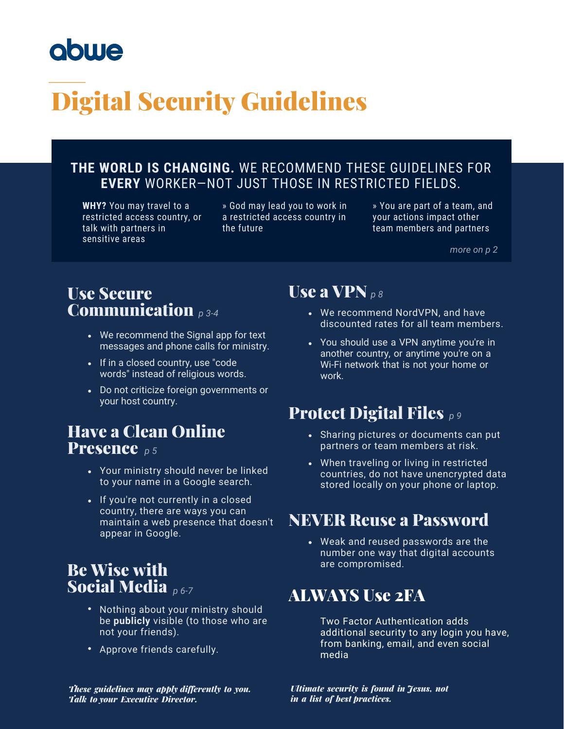# obwe

# Digital Security Guidelines

### **THE WORLD IS CHANGING.** WE RECOMMEND THESE GUIDELINES FOR **EVERY** WORKER—NOT JUST THOSE IN RESTRICTED FIELDS.

**WHY?** You may travel to a restricted access country, or talk with partners in sensitive areas

» God may lead you to work in a restricted access country in the future

» You are part of a team, and your actions impact other team members and partners

*more on p 2*

### Use Secure Communication *p 3-4*

- We recommend the Signal app for text messages and phone calls for ministry.
- If in a closed country, use "code words" instead of religious words.
- Do not criticize foreign governments or your host country.

### Have a Clean Online Presence *p 5*

- Your ministry should never be linked to your name in a Google search.
- If you're not currently in a closed country, there are ways you can maintain a web presence that doesn't appear in Google.

### Be Wise with **Social Media** p6-7

- Nothing about your ministry should be **publicly** visible (to those who are not your friends).
- Approve friends carefully.

### Use a VPN  $_{DS}$

- We recommend NordVPN, and have discounted rates for all team members.
- You should use a VPN anytime you're in another country, or anytime you're on a Wi-Fi network that is not your home or work. **POIT**<br> **P** *p* 3-4<br> **p** 6 **p** 9-4<br> **p** 6 **p** 9-4<br> **p** 6 **p** 6 **p** 9 **p** 9 **p** 9 **p** 9 **p** 9 **p** 9 **p** 9 **p** 9 **p** 9 **p** 1 **p** 1 **p** 1 **p** 1 **p** 1 **p** 1 **p** 1 **p** 1 **p** 1 **p** 1 **p** 1 **p** 1 **p** 1 **p** 1 **p** 1 **p** 1 **p** 1 **p**

## **Protect Digital Files** p9

- Sharing pictures or documents can put partners or team members at risk.
- When traveling or living in restricted countries, do not have unencrypted data stored locally on your phone or laptop.

### NEVER Reuse a Password

Weak and reused passwords are the number one way that digital accounts are compromised.

## ALWAYS Use 2FA

Two Factor Authentication adds additional security to any login you have, from banking, email, and even social media

*Ultimate security is found in Jesus, not in a list of best practices.* 

*These guidelines may apply differently to you. Talk to your Executive Director.*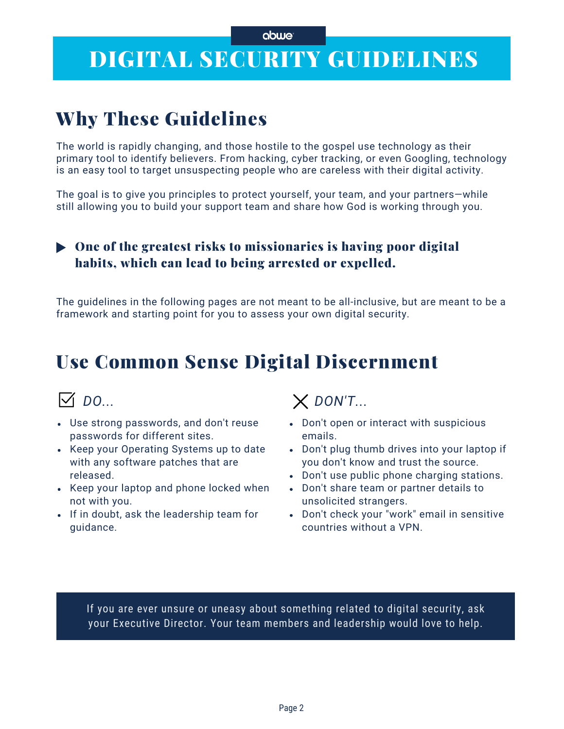#### abwe

## DIGITAL SECURITY GUIDELINES

## Why These Guidelines

The world is rapidly changing, and those hostile to the gospel use technology as their primary tool to identify believers. From hacking, cyber tracking, or even Googling, technology is an easy tool to target unsuspecting people who are careless with their digital activity.

The goal is to give you principles to protect yourself, your team, and your partners—while still allowing you to build your support team and share how God is working through you.

### $\triangleright$  One of the greatest risks to missionaries is having poor digital habits, which can lead to being arrested or expelled.

The guidelines in the following pages are not meant to be all-inclusive, but are meant to be a framework and starting point for you to assess your own digital security.

## Use Common Sense Digital Discernment

- Use strong passwords, and don't reuse passwords for different sites.
- Keep your Operating Systems up to date with any software patches that are released.
- Keep your laptop and phone locked when not with you.
- If in doubt, ask the leadership team for guidance.

### *DO... DON'T...*

- Don't open or interact with suspicious emails.
- Don't plug thumb drives into your laptop if you don't know and trust the source.
- Don't use public phone charging stations.
- Don't share team or partner details to unsolicited strangers.
- Don't check your "work" email in sensitive countries without a VPN.

If you are ever unsure or uneasy about something related to digital security, ask your Executive Director. Your team members and leadership would love to help.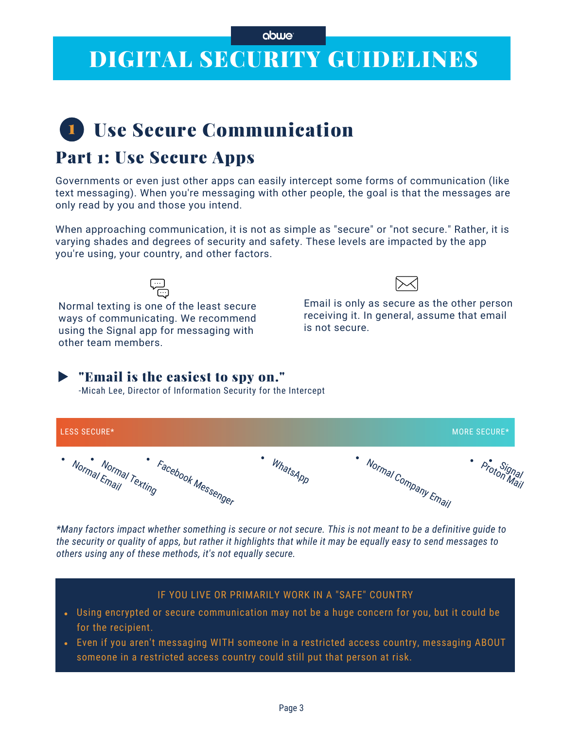## DIGITAL SECURITY GUIDELINES

## **1** Use Secure Communication

### Part 1: Use Secure Apps

Governments or even just other apps can easily intercept some forms of communication (like text messaging). When you're messaging with other people, the goal is that the messages are only read by you and those you intend.

When approaching communication, it is not as simple as "secure" or "not secure." Rather, it is varying shades and degrees of security and safety. These levels are impacted by the app you're using, your country, and other factors.

Normal texting is one of the least secure ways of communicating. We recommend using the Signal app for messaging with other team members.



Email is only as secure as the other person receiving it. In general, assume that email is not secure.

### "Email is the easiest to spy on."

-Micah Lee, Director of Information Security for the Intercept



\*Many factors impact whether something is secure or not secure. This is not meant to be a definitive quide to the security or quality of apps, but rather it highlights that while it may be equally easy to send messages to *others using any of these methods, it's not equally secure.*

### IF YOU LIVE OR PRIMARILY WORK IN A "SAFE" COUNTRY

- Using encrypted or secure [communication](https://support.google.com/webmasters/answer/93710?hl=en) may not be a huge concern for you, but it could be for the recipient.
- Even if you aren't messaging WITH someone in a restricted access country, messaging ABOUT someone in a restricted access country could still put that person at risk.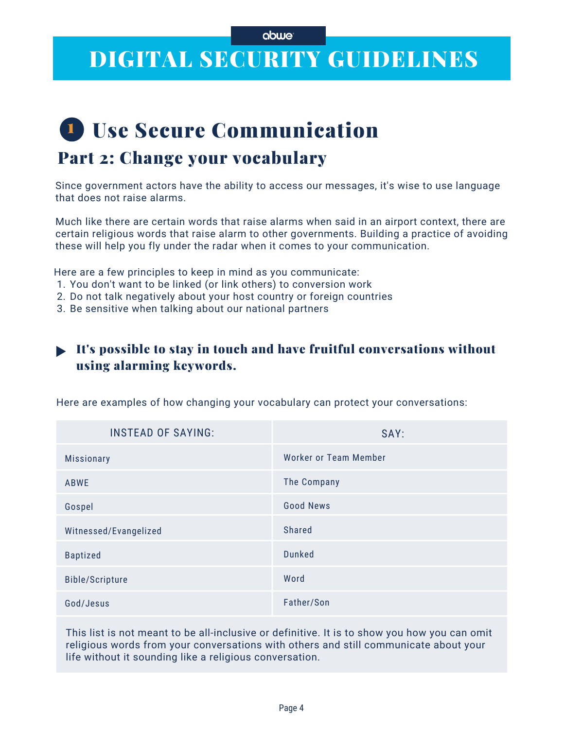## DIGITAL SECURITY GUIDELINES

## **1** Use Secure Communication Part 2: Change your vocabulary

Since government actors have the ability to access our messages, it's wise to use language that does not raise alarms.

Much like there are certain words that raise alarms when said in an airport context, there are certain religious words that raise alarm to other governments. Building a practice of avoiding these will help you fly under the radar when it comes to your communication.

Here are a few principles to keep in mind as you communicate:

- 1. You don't want to be linked (or link others) to conversion work
- 2. Do not talk negatively about your host country or foreign countries
- Be sensitive when talking about our national partners 3.

### It's possible to stay in touch and have fruitful conversations without using alarming keywords.

SAY: Worker or Team Member The Company Good News Shared Dunked Word Father/Son INSTEAD OF SAYING: Missionary ABWE Gospel Witnessed/Evangelized Baptized Bible/Scripture God/Jesus

Here are examples of how changing your vocabulary can protect your conversations:

This list is not meant to be all-inclusive or definitive. It is to show you how you can omit religious words from your conversations with others and still communicate about your life without it sounding like a religious conversation.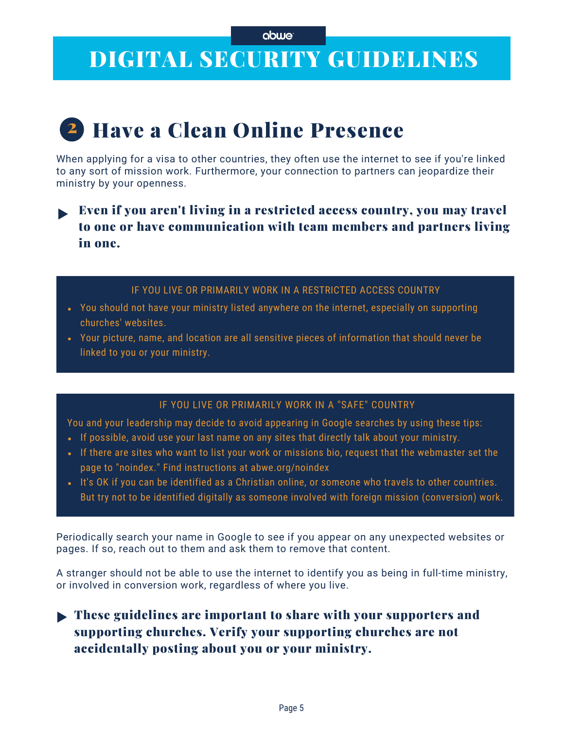## DIGITAL SECURITY GUIDELINES

# 2 Have a Clean Online Presence

When applying for a visa to other countries, they often use the internet to see if you're linked to any sort of mission work. Furthermore, your connection to partners can jeopardize their ministry by your openness.

### Even if you aren't living in a restricted access country, you may travel to one or have communication with team members and partners living in one.

#### IF YOU LIVE OR PRIMARILY WORK IN A RESTRICTED ACCESS COUNTRY

- You should not have your ministry listed anywhere on the internet, especially on supporting churches' websites.
- Your picture, name, and location are all sensitive pieces of information that should never be linked to you or your ministry.

### IF YOU LIVE OR PRIMARILY WORK IN A "SAFE" COUNTRY

You and your leadership may decide to avoid appearing in Google searches by using these tips:

- If possible, avoid use your last name on any sites that directly talk about your ministry.
- If there are sites who want to list your work or missions bio, request that the webmaster set the page to "noindex." Find instructions at [abwe.org/noindex](https://support.google.com/webmasters/answer/93710?hl=en)
- . It's OK if you can be identified as a Christian online, or someone who travels to other countries. But try not to be identified digitally as someone involved with foreign mission (conversion) work.

Periodically search your name in Google to see if you appear on any unexpected websites or pages. If so, reach out to them and ask them to remove that content.

A stranger should not be able to use the internet to identify you as being in full-time ministry, or involved in conversion work, regardless of where you live.

### **These guidelines are important to share with your supporters and** supporting churches. Verify your supporting churches are not accidentally posting about you or your ministry.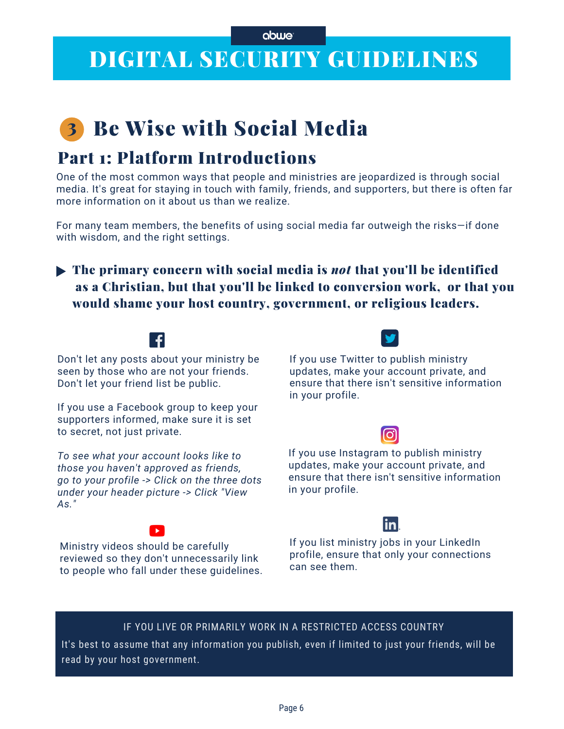## DIGITAL SECURITY GUIDELINES

## **3 Be Wise with Social Media**

## Part 1: Platform Introductions

One of the most common ways that people and ministries are jeopardized is through social media. It's great for staying in touch with family, friends, and supporters, but there is often far more information on it about us than we realize.

For many team members, the benefits of using social media far outweigh the risks—if done with wisdom, and the right settings.

### The primary concern with social media is *not* that you'll be identified as a Christian, but that you'll be linked to conversion work, or that you would shame your host country, government, or religious leaders.

Don't let any posts about your ministry be seen by those who are not your friends. Don't let your friend list be public.

If you use a Facebook group to keep your supporters informed, make sure it is set to secret, not just private.

*To see what your account looks like to those you haven't approved as friends, go to your profile -> Click on the three dots under your header picture -> Click "View As."*

reviewed so they don't unnecessarily link to people who fall under these guidelines.

Ministry videos should be carefully

If you use Twitter to publish ministry updates, make your account private, and ensure that there isn't sensitive information in your profile.

### ට

If you use Instagram to publish ministry updates, make your account private, and ensure that there isn't sensitive information in your profile.

### inl

If you list ministry jobs in your LinkedIn profile, ensure that only your connections can see them.

### IF YOU LIVE OR PRIMARILY WORK IN A RESTRICTED ACCESS COUNTRY

It's best to assume that any information you publish, even if limited to just your friends, will be read by your host government.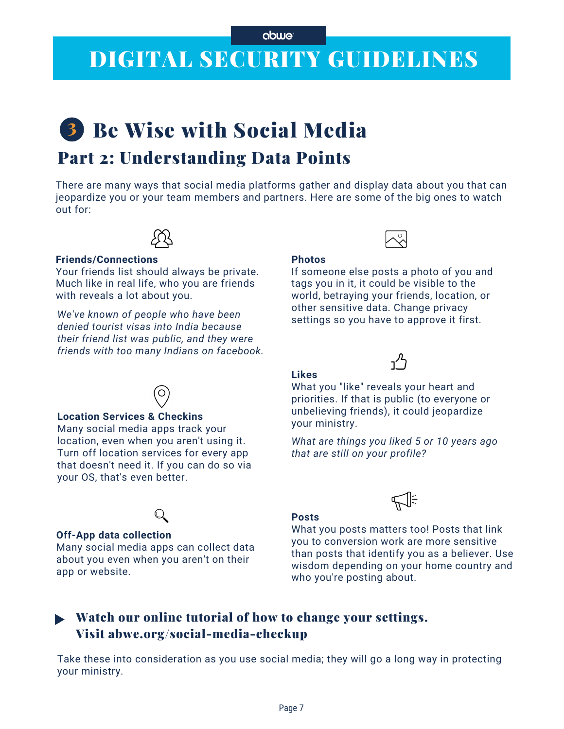#### abwe

## DIGITAL SECURITY GUIDELINES

# 3 Be Wise with Social Media

## Part 2: Understanding Data Points

There are many ways that social media platforms gather and display data about you that can jeopardize you or your team members and partners. Here are some of the big ones to watch out for:



#### **Friends/Connections**

Your friends list should always be private. Much like in real life, who you are friends with reveals a lot about you.

*We've known of people who have been denied tourist visas into India because their friend list was public, and they were friends with too many Indians on facebook.*



#### **Location Services & Checkins**

Many social media apps track your location, even when you aren't using it. Turn off location services for every app that doesn't need it. If you can do so via your OS, that's even better.

#### **Off-App data collection**

Many social media apps can collect data about you even when you aren't on their app or website.

If someone else posts a photo of you and tags you in it, it could be visible to the world, betraying your friends, location, or other sensitive data. Change privacy settings so you have to approve it first.



#### **Likes**

**Photos**

What you "like" reveals your heart and priorities. If that is public (to everyone or unbelieving friends), it could jeopardize your ministry.

*What are things you liked 5 or 10 years ago that are still on your profile?*



#### **Posts**

What you posts matters too! Posts that link you to conversion work are more sensitive than posts that identify you as a believer. Use wisdom depending on your home country and who you're posting about.

### Watch our online tutorial of how to change your settings. Visit abwe.org/social-media-checkup

Take these into consideration as you use social media; they will go a long way in protecting your ministry.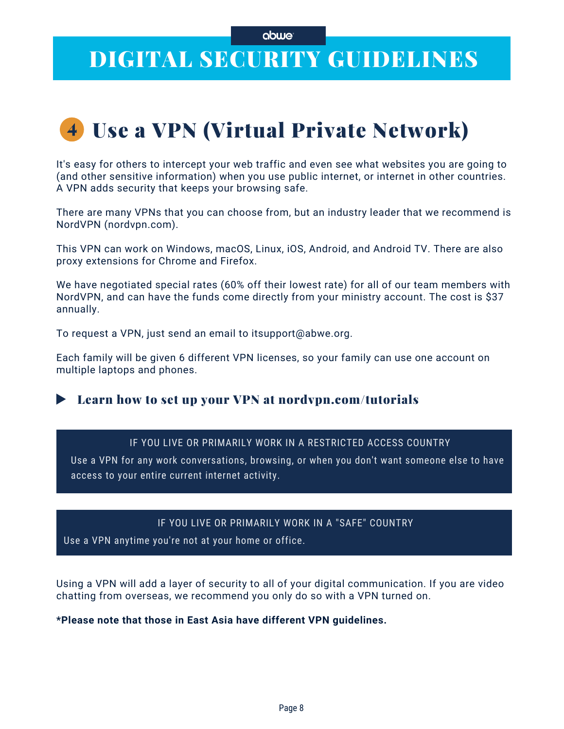#### abwe

## DIGITAL SECURITY GUIDELINES

## Use a VPN (Virtual Private Network) 4

It's easy for others to intercept your web traffic and even see what websites you are going to (and other sensitive information) when you use public internet, or internet in other countries. A VPN adds security that keeps your browsing safe.

There are many VPNs that you can choose from, but an industry leader that we recommend is NordVPN (nordvpn.com).

This VPN can work on Windows, macOS, Linux, iOS, Android, and Android TV. There are also proxy extensions for Chrome and Firefox.

We have negotiated special rates (60% off their lowest rate) for all of our team members with NordVPN, and can have the funds come directly from your ministry account. The cost is \$37 annually.

To request a VPN, just send an email to itsupport@abwe.org.

Each family will be given 6 different VPN licenses, so your family can use one account on multiple laptops and phones.

### **EXAMPLE 2.5 Learn how to set up your VPN at nordvpn.com/tutorials**

#### IF YOU LIVE OR PRIMARILY WORK IN A RESTRICTED ACCESS COUNTRY

Use a VPN for any work conversations, browsing, or when you don't want someone else to have access to your entire current internet activity.

#### IF YOU LIVE OR [PRIMARILY](https://support.google.com/webmasters/answer/93710?hl=en) WORK IN A "SAFE" COUNTRY

Use a VPN anytime you're not at your home or office.

Using a VPN will add a layer of security to all of your digital communication. If you are video chatting from overseas, we recommend you only do so with a VPN turned on.

**\*Please note that those in East Asia have different VPN guidelines.**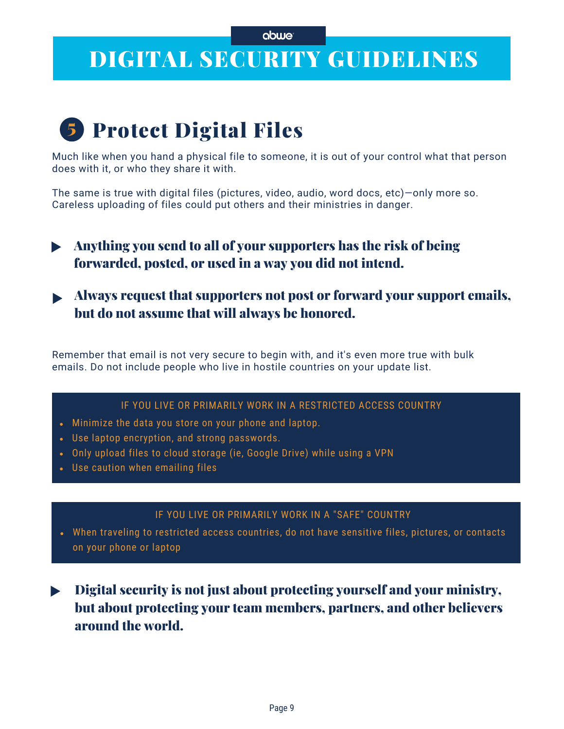## DIGITAL SECURITY GUIDELINES

## 5 Protect Digital Files

Much like when you hand a physical file to someone, it is out of your control what that person does with it, or who they share it with.

The same is true with digital files (pictures, video, audio, word docs, etc)—only more so. Careless uploading of files could put others and their ministries in danger.

- Anything you send to all of your supporters has the risk of being forwarded, posted, or used in a way you did not intend.
- Always request that supporters not post or forward your support emails, but do not assume that will always be honored.

Remember that email is not very secure to begin with, and it's even more true with bulk emails. Do not include people who live in hostile countries on your update list.

### IF YOU LIVE OR PRIMARILY WORK IN A RESTRICTED ACCESS COUNTRY

- Minimize the data you store on your phone and laptop.
- Use laptop encryption, and strong passwords.
- Only upload files to cloud storage (ie, Google Drive) while using a VPN
- Use caution when emailing files

### IF YOU LIVE OR [PRIMARILY](https://support.google.com/webmasters/answer/93710?hl=en) WORK IN A "SAFE" COUNTRY

- When traveling to restricted access countries, do not have sensitive files, pictures, or contacts on your phone or laptop
- Digital security is not just about protecting yourself and your ministry,  $\blacktriangleright$ but about protecting your team members, partners, and other believers around the world.